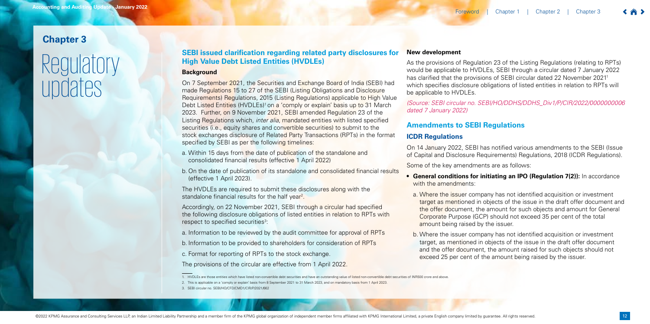On 7 September 2021, the Securities and Exchange Board of India (SEBI) had made Regulations 15 to 27 of the SEBI (Listing Obligations and Disclosure Requirements) Regulations, 2015 (Listing Regulations) applicable to High Value Debt Listed Entities (HVDLEs)<sup>1</sup> on a 'comply or explain' basis up to 31 March 2023. Further, on 9 November 2021, SEBI amended Regulation 23 of the Listing Regulations which, *inter alia*, mandated entities with listed specified securities (i.e., equity shares and convertible securities) to submit to the stock exchanges disclosure of Related Party Transactions (RPTs) in the format specified by SEBI as per the following timelines:

# **Chapter 3**

# Regulatory updates

# **SEBI issued clarification regarding related party disclosures for High Value Debt Listed Entities (HVDLEs)**

### **Background**

The HVDLEs are required to submit these disclosures along with the standalone financial results for the half year<sup>2</sup>.

Accordingly, on 22 November 2021, SEBI through a circular had specified the following disclosure obligations of listed entities in relation to RPTs with respect to specified securities<sup>3</sup>:

- a. Within 15 days from the date of publication of the standalone and consolidated financial results (effective 1 April 2022)
- b. On the date of publication of its standalone and consolidated financial results (effective 1 April 2023).
- with the amendments:
- amount being raised by the issuer.
- exceed 25 per cent of the amount being raised by the issuer.

a. Information to be reviewed by the audit committee for approval of RPTs

- b. Information to be provided to shareholders for consideration of RPTs
- c. Format for reporting of RPTs to the stock exchange.

The provisions of the circular are effective from 1 April 2022.

# **New development**

As the provisions of Regulation 23 of the Listing Regulations (relating to RPTs) would be applicable to HVDLEs, SEBI through a circular dated 7 January 2022 has clarified that the provisions of SEBI circular dated 22 November 2021<sup>1</sup> which specifies disclosure obligations of listed entities in relation to RPTs will be applicable to HVDLEs.

# *(Source: SEBI circular no. SEBI/HO/DDHS/DDHS\_Div1/P/CIR/2022/0000000006*

*dated 7 January 2022)*

# **Amendments to SEBI Regulations**

# **ICDR Regulations**

On 14 January 2022, SEBI has notified various amendments to the SEBI (Issue of Capital and Disclosure Requirements) Regulations, 2018 (ICDR Regulations).

Some of the key amendments are as follows:

**• General conditions for initiating an IPO (Regulation 7(2)):** In accordance

a. Where the issuer company has not identified acquisition or investment target as mentioned in objects of the issue in the draft offer document and the offer document, the amount for such objects and amount for General Corporate Purpose (GCP) should not exceed 35 per cent of the total

b. Where the issuer company has not identified acquisition or investment target, as mentioned in objects of the issue in the draft offer document and the offer document, the amount raised for such objects should not

2. This is applicable on a 'comply or explain' basis from 8 September 2021 to 31 March 2023, and on mandatory basis from 1 April 2023.

3. SEBI circular no. SEBI/HO/CFD/CMD1/CIR/P/2021/662

have listed non-convertible debt securities and have an outstanding value of listed non-convertible debt securities of INR500 crore and above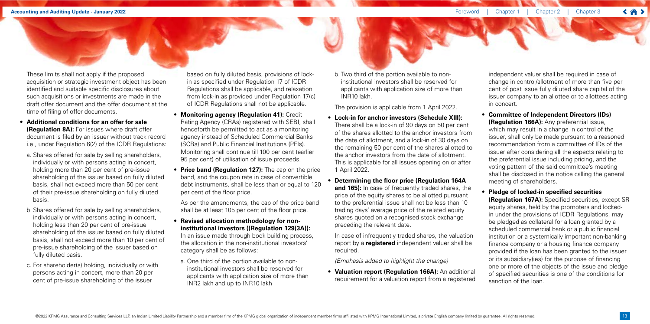These limits shall not apply if the proposed acquisition or strategic investment object has been identified and suitable specific disclosures about such acquisitions or investments are made in the draft offer document and the offer document at the time of filing of offer documents.

- **• Additional conditions for an offer for sale (Regulation 8A):** For issues where draft offer document is filed by an issuer without track record i.e., under Regulation 6(2) of the ICDR Regulations:
- a. Shares offered for sale by selling shareholders, individually or with persons acting in concert, holding more than 20 per cent of pre-issue shareholding of the issuer based on fully diluted basis, shall not exceed more than 50 per cent of their pre-issue shareholding on fully diluted basis.
- b. Shares offered for sale by selling shareholders, individually or with persons acting in concert, holding less than 20 per cent of pre-issue shareholding of the issuer based on fully diluted basis, shall not exceed more than 10 per cent of pre-issue shareholding of the issuer based on fully diluted basis.
- c. For shareholder(s) holding, individually or with persons acting in concert, more than 20 per cent of pre-issue shareholding of the issuer

based on fully diluted basis, provisions of lockin as specified under Regulation 17 of ICDR Regulations shall be applicable, and relaxation from lock-in as provided under Regulation 17(c) of ICDR Regulations shall not be applicable.

- **• Monitoring agency (Regulation 41):** Credit Rating Agency (CRAs) registered with SEBI, shall henceforth be permitted to act as a monitoring agency instead of Scheduled Commercial Banks (SCBs) and Public Financial Institutions (PFIs). Monitoring shall continue till 100 per cent (earlier 95 per cent) of utilisation of issue proceeds.
- **• Price band (Regulation 127):** The cap on the price band, and the coupon rate in case of convertible debt instruments, shall be less than or equal to 120 per cent of the floor price.

As per the amendments, the cap of the price band shall be at least 105 per cent of the floor price.

- **• Revised allocation methodology for noninstitutional investors ((Regulation 129(3A)):** In an issue made through book building process, the allocation in the non-institutional investors' category shall be as follows:
- a. One third of the portion available to noninstitutional investors shall be reserved for applicants with application size of more than INR2 lakh and up to INR10 lakh

b. Two third of the portion available to noninstitutional investors shall be reserved for applicants with application size of more than INR10 lakh.

The provision is applicable from 1 April 2022.

- **• Lock-in for anchor investors (Schedule XIII):** There shall be a lock-in of 90 days on 50 per cent of the shares allotted to the anchor investors from the date of allotment, and a lock-in of 30 days on the remaining 50 per cent of the shares allotted to the anchor investors from the date of allotment. This is applicable for all issues opening on or after 1 April 2022.
- **• Determining the floor price (Regulation 164A and 165):** In case of frequently traded shares, the price of the equity shares to be allotted pursuant to the preferential issue shall not be less than 10 trading days' average price of the related equity shares quoted on a recognised stock exchange preceding the relevant date.

In case of infrequently traded shares, the valuation report by a **registered** independent valuer shall be required.

*(Emphasis added to highlight the change)*

**• Valuation report (Regulation 166A):** An additional requirement for a valuation report from a registered independent valuer shall be required in case of change in control/allotment of more than five per cent of post issue fully diluted share capital of the issuer company to an allottee or to allottees acting in concert.

# **• Committee of Independent Directors (IDs)**

**(Regulation 166A):** Any preferential issue, which may result in a change in control of the issuer, shall only be made pursuant to a reasoned recommendation from a committee of IDs of the issuer after considering all the aspects relating to the preferential issue including pricing, and the voting pattern of the said committee's meeting shall be disclosed in the notice calling the general meeting of shareholders.

# **• Pledge of locked-in specified securities**

**(Regulation 167A):** Specified securities, except SR equity shares, held by the promoters and lockedin under the provisions of ICDR Regulations, may be pledged as collateral for a loan granted by a scheduled commercial bank or a public financial institution or a systemically important non-banking finance company or a housing finance company provided if the loan has been granted to the issuer or its subsidiary(ies) for the purpose of financing one or more of the objects of the issue and pledge of specified securities is one of the conditions for sanction of the loan.

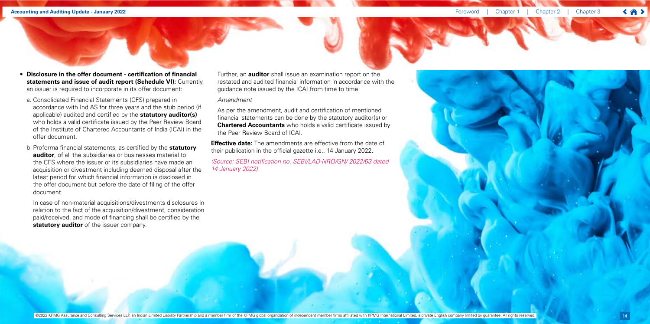### **Accounting and Auditing Update - January 2022** *Chapter 2* **Chapter 2 Chapter 2 Chapter 2 Chapter 2 Chapter 2 Chapter 2 Chapter 2 Chapter 2 Chapter 2 Chapter 2 Chapter 2 Chapter 2 Chapter 2 Cha**

In case of non-material acquisitions/divestments disclosures in relation to the fact of the acquisition/divestment, consideration paid/received, and mode of financing shall be certified by the **statutory auditor** of the issuer company.

- **• Disclosure in the offer document certification of financial statements and issue of audit report (Schedule VI): Currently,** an issuer is required to incorporate in its offer document:
	- a. Consolidated Financial Statements (CFS) prepared in accordance with Ind AS for three years and the stub period (if applicable) audited and certified by the **statutory auditor(s)** who holds a valid certificate issued by the Peer Review Board of the Institute of Chartered Accountants of India (ICAI) in the offer document.
	- b. Proforma financial statements, as certified by the **statutory auditor**, of all the subsidiaries or businesses material to the CFS where the issuer or its subsidiaries have made an acquisition or divestment including deemed disposal after the latest period for which financial information is disclosed in the offer document but before the date of filing of the offer document.

**Effective date:** The amendments are effective from the date of their publication in the official gazette i.e., 14 January 2022.

Further, an **auditor** shall issue an examination report on the restated and audited financial information in accordance with the guidance note issued by the ICAI from time to time.

### *Amendment*

As per the amendment, audit and certification of mentioned financial statements can be done by the statutory auditor(s) or **Chartered Accountants** who holds a valid certificate issued by the Peer Review Board of ICAI.

(Source: SEBI notification no. SEBI/LAD-NRO/GN/ 2022/63 dated *14 January 2022)*



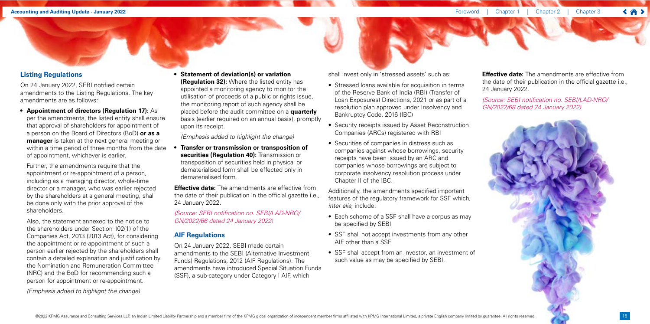15



# **Listing Regulations**

On 24 January 2022, SEBI notified certain amendments to the Listing Regulations. The key amendments are as follows:

**• Appointment of directors (Regulation 17):** As per the amendments, the listed entity shall ensure that approval of shareholders for appointment of a person on the Board of Directors (BoD) **or as a manager** is taken at the next general meeting or within a time period of three months from the date of appointment, whichever is earlier.

Further, the amendments require that the appointment or re-appointment of a person, including as a managing director, whole-time director or a manager, who was earlier rejected by the shareholders at a general meeting, shall be done only with the prior approval of the shareholders.

Also, the statement annexed to the notice to the shareholders under Section 102(1) of the Companies Act, 2013 (2013 Act), for considering the appointment or re-appointment of such a person earlier rejected by the shareholders shall contain a detailed explanation and justification by the Nomination and Remuneration Committee (NRC) and the BoD for recommending such a person for appointment or re-appointment.

*(Emphasis added to highlight the change)*

### **• Statement of deviation(s) or variation (Regulation 32):** Where the listed entity has appointed a monitoring agency to monitor the

utilisation of proceeds of a public or rights issue, the monitoring report of such agency shall be placed before the audit committee on a **quarterly**  basis (earlier required on an annual basis), promptly upon its receipt.

*(Emphasis added to highlight the change)*

**Effective date:** The amendments are effective from the date of their publication in the official gazette i.e., 24 January 2022.

**• Transfer or transmission or transposition of securities (Regulation 40):** Transmission or transposition of securities held in physical or dematerialised form shall be effected only in dematerialised form.

**Effective date:** The amendments are effective from the date of their publication in the official gazette i.e., 24 January 2022.

(Source: SEBI notification no. SEBI/LAD-NRO/ *GN/2022/66 dated 24 January 2022)*

# **AIF Regulations**

On 24 January 2022, SEBI made certain amendments to the SEBI (Alternative Investment Funds) Regulations, 2012 (AIF Regulations). The amendments have introduced Special Situation Funds (SSF), a sub-category under Category I AIF, which

shall invest only in 'stressed assets' such as:

- Stressed loans available for acquisition in terms of the Reserve Bank of India (RBI) (Transfer of Loan Exposures) Directions, 2021 or as part of a resolution plan approved under Insolvency and Bankruptcy Code, 2016 (IBC)
- Security receipts issued by Asset Reconstruction Companies (ARCs) registered with RBI
- Securities of companies in distress such as companies against whose borrowings, security receipts have been issued by an ARC and companies whose borrowings are subject to corporate insolvency resolution process under Chapter II of the IBC.

Additionally, the amendments specified important features of the regulatory framework for SSF which, *inter alia*, include:

- Each scheme of a SSF shall have a corpus as may be specified by SEBI
- SSF shall not accept investments from any other AIF other than a SSF
- SSF shall accept from an investor, an investment of such value as may be specified by SEBI.

(Source: SEBI notification no. SEBI/LAD-NRO/ *GN/2022/68 dated 24 January 2022)*

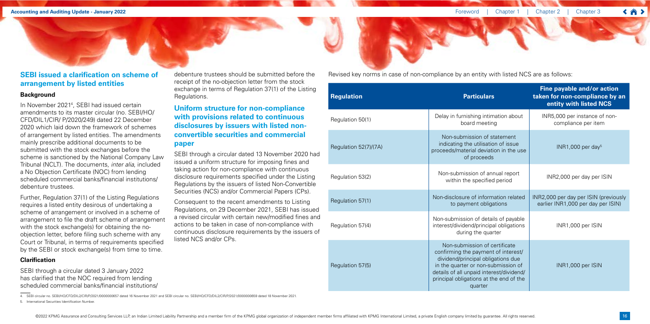# **SEBI issued a clarification on scheme of arrangement by listed entities**

### **Background**

In November 2021<sup>4</sup> , SEBI had issued certain amendments to its master circular (no. SEBI/HO/ CFD/DIL1/CIR/ P/2020/249) dated 22 December 2020 which laid down the framework of schemes of arrangement by listed entities. The amendments mainly prescribe additional documents to be submitted with the stock exchanges before the scheme is sanctioned by the National Company Law Tribunal (NCLT). The documents, *inter alia*, included a No Objection Certificate (NOC) from lending scheduled commercial banks/financial institutions/ debenture trustees.

Further, Regulation 37(1) of the Listing Regulations requires a listed entity desirous of undertaking a scheme of arrangement or involved in a scheme of arrangement to file the draft scheme of arrangement with the stock exchange(s) for obtaining the noobjection letter, before filing such scheme with any Court or Tribunal, in terms of requirements specified by the SEBI or stock exchange(s) from time to time.

# **Clarification**

SEBI through a circular dated 3 January 2022 has clarified that the NOC required from lending scheduled commercial banks/financial institutions/ debenture trustees should be submitted before the receipt of the no-objection letter from the stock exchange in terms of Regulation 37(1) of the Listing Regulations.

# **Uniform structure for non-compliance with provisions related to continuous disclosures by issuers with listed nonconvertible securities and commercial paper**

SEBI through a circular dated 13 November 2020 had issued a uniform structure for imposing fines and taking action for non-compliance with continuous disclosure requirements specified under the Listing Regulations by the issuers of listed Non-Convertible Securities (NCS) and/or Commercial Papers (CPs).

Consequent to the recent amendments to Listing Regulations, on 29 December 2021, SEBI has issued a revised circular with certain new/modified fines and actions to be taken in case of non-compliance with continuous disclosure requirements by the issuers of listed NCS and/or CPs.

4. SEBI circular no. SEBI/HO/CFD/DIL2/CIR/P/2021/0000000657 dated 16 November 2021 and SEBI circular no. SEBI/HO/CFD/DIL2/CIR/P/2021/0000000659 dated 18 November 2021.

5. International Securities Identification Number.

| <b>Regulation</b>     | <b>Particulars</b>                                                                                                                                                                                                                                  | Fine payable and/or action<br>taken for non-compliance by an<br>entity with listed NCS |
|-----------------------|-----------------------------------------------------------------------------------------------------------------------------------------------------------------------------------------------------------------------------------------------------|----------------------------------------------------------------------------------------|
| Regulation 50(1)      | Delay in furnishing intimation about<br>board meeting                                                                                                                                                                                               | INR5,000 per instance of non-<br>compliance per item                                   |
| Regulation 52(7)/(7A) | Non-submission of statement<br>indicating the utilisation of issue<br>proceeds/material deviation in the use<br>of proceeds                                                                                                                         | INR1,000 per day <sup>5</sup>                                                          |
| Regulation 53(2)      | Non-submission of annual report<br>within the specified period                                                                                                                                                                                      | INR2,000 per day per ISIN                                                              |
| Regulation 57(1)      | Non-disclosure of information related<br>to payment obligations                                                                                                                                                                                     | INR2,000 per day per ISIN (previously<br>earlier INR1,000 per day per ISIN)            |
| Regulation 57(4)      | Non-submission of details of payable<br>interest/dividend/principal obligations<br>during the quarter                                                                                                                                               | INR1,000 per ISIN                                                                      |
| Regulation 57(5)      | Non-submission of certificate<br>confirming the payment of interest/<br>dividend/principal obligations due<br>in the quarter or non-submission of<br>details of all unpaid interest/dividend/<br>principal obligations at the end of the<br>quarter | INR1,000 per ISIN                                                                      |

Revised key norms in case of non-compliance by an entity with listed NCS are as follows:

![](_page_4_Picture_17.jpeg)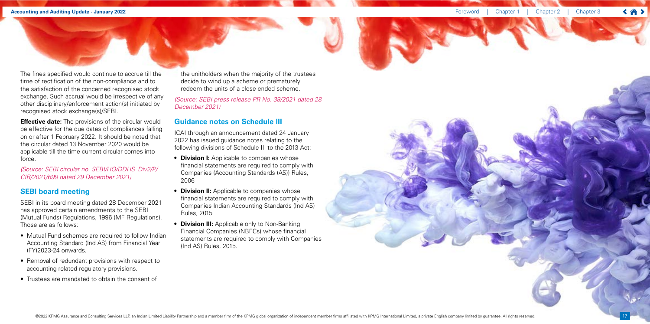**Effective date:** The provisions of the circular would be effective for the due dates of compliances falling on or after 1 February 2022. It should be noted that the circular dated 13 November 2020 would be applicable till the time current circular comes into force.

The fines specified would continue to accrue till the time of rectification of the non-compliance and to the satisfaction of the concerned recognised stock exchange. Such accrual would be irrespective of any other disciplinary/enforcement action(s) initiated by recognised stock exchange(s)/SEBI.

*(Source: SEBI circular no. SEBI/HO/DDHS\_Div2/P/ CIR/2021/699 dated 29 December 2021)*

# **SEBI board meeting**

SEBI in its board meeting dated 28 December 2021 has approved certain amendments to the SEBI (Mutual Funds) Regulations, 1996 (MF Regulations). Those are as follows:

- Mutual Fund schemes are required to follow Indian Accounting Standard (Ind AS) from Financial Year (FY)2023-24 onwards.
- Removal of redundant provisions with respect to accounting related regulatory provisions.
- Trustees are mandated to obtain the consent of

the unitholders when the majority of the trustees decide to wind up a scheme or prematurely redeem the units of a close ended scheme.

(Source: SEBI press release PR No. 38/2021 dated 28 *December 2021)*

# **Guidance notes on Schedule III**

ICAI through an announcement dated 24 January 2022 has issued guidance notes relating to the following divisions of Schedule III to the 2013 Act:

- **• Division I:** Applicable to companies whose financial statements are required to comply with Companies (Accounting Standards (AS)) Rules, 2006
- **• Division II:** Applicable to companies whose financial statements are required to comply with Companies Indian Accounting Standards (Ind AS) Rules, 2015
- **• Division III:** Applicable only to Non-Banking Financial Companies (NBFCs) whose financial statements are required to comply with Companies (Ind AS) Rules, 2015.

![](_page_5_Picture_17.jpeg)

![](_page_5_Picture_19.jpeg)

![](_page_5_Picture_20.jpeg)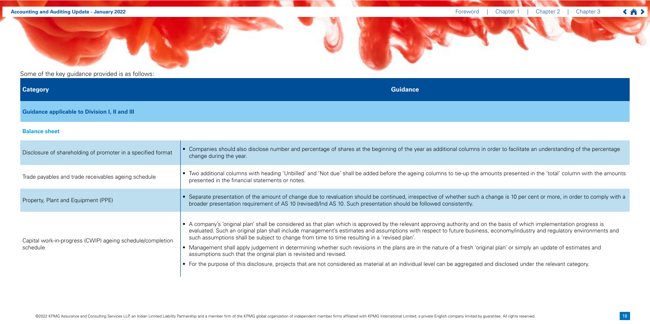### **Accounting and Auditing Update - January 2022** *Chapter 1* **and Auditing Update - January 2022** *Chapter 1*

Some of the key guidance provided is as follows:

**Category Guidance**

**Guidance applicable to Division I, II and III**

### **Balance sheet**

| Disclosure of shareholding of promoter in a specified format           | • Companies should also disclose number and percentage of shares at the beginning of the year as additional columns in order to<br>change during the year.                                                                                                                                                                                                                                                                                                                                                                                                                                                                                                                                                                 |
|------------------------------------------------------------------------|----------------------------------------------------------------------------------------------------------------------------------------------------------------------------------------------------------------------------------------------------------------------------------------------------------------------------------------------------------------------------------------------------------------------------------------------------------------------------------------------------------------------------------------------------------------------------------------------------------------------------------------------------------------------------------------------------------------------------|
| Trade payables and trade receivables ageing schedule                   | • Two additional columns with heading 'Unbilled' and 'Not due' shall be added before the ageing columns to tie-up the amounts pro<br>presented in the financial statements or notes.                                                                                                                                                                                                                                                                                                                                                                                                                                                                                                                                       |
| Property, Plant and Equipment (PPE)                                    | • Separate presentation of the amount of change due to revaluation should be continued, irrespective of whether such a change is<br>broader presentation requirement of AS 10 (revised)/Ind AS 10. Such presentation should be followed consistently.                                                                                                                                                                                                                                                                                                                                                                                                                                                                      |
| Capital work-in-progress (CWIP) ageing schedule/completion<br>schedule | • A company's 'original plan' shall be considered as that plan which is approved by the relevant approving authority and on the basi<br>evaluated. Such an original plan shall include management's estimates and assumptions with respect to future business, econor<br>such assumptions shall be subject to change from time to time resulting in a 'revised plan'.<br>• Management shall apply judgement in determining whether such revisions in the plans are in the nature of a fresh 'original plan'<br>assumptions such that the original plan is revisited and revised.<br>• For the purpose of this disclosure, projects that are not considered as material at an individual level can be aggregated and disclo |
|                                                                        |                                                                                                                                                                                                                                                                                                                                                                                                                                                                                                                                                                                                                                                                                                                            |

![](_page_6_Picture_9.jpeg)

facilitate an understanding of the percentage

presented in the 'total' column with the amounts

is 10 per cent or more, in order to comply with a

 $s$  is of which implementation progress is  $m$  my/industry and regulatory environments and

' or simply an update of estimates and

losed under the relevant category.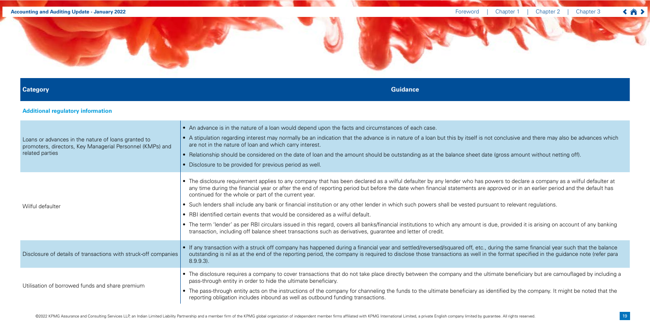### **Accounting and Auditing Update - January 2022** *Chapter 1* **and Auditing Update - January 2022** *Chapter 1*

![](_page_7_Picture_2.jpeg)

### **Category Guidance**

# **Additional regulatory information**

![](_page_7_Picture_9.jpeg)

 $s$ s amount without netting off).

to declare a company as a wilful defaulter at ed or in an earlier period and the default has

 $\alpha$  relevant regulations.

rovided it is arising on account of any banking

the same financial year such that the balance mat specified in the guidance note (refer para

beneficiary but are camouflaged by including a

ed by the company. It might be noted that the

 $\left\langle \left\langle \right\rangle \right\rangle$ 

| Loans or advances in the nature of loans granted to<br>promoters, directors, Key Managerial Personnel (KMPs) and<br>related parties | • An advance is in the nature of a loan would depend upon the facts and circumstances of each case.<br>• A stipulation regarding interest may normally be an indication that the advance is in nature of a loan but this by itself is not concl<br>are not in the nature of loan and which carry interest.<br>• Relationship should be considered on the date of loan and the amount should be outstanding as at the balance sheet date (gros<br>• Disclosure to be provided for previous period as well.                                                                                                                                                                                                                                                                                                     |
|-------------------------------------------------------------------------------------------------------------------------------------|---------------------------------------------------------------------------------------------------------------------------------------------------------------------------------------------------------------------------------------------------------------------------------------------------------------------------------------------------------------------------------------------------------------------------------------------------------------------------------------------------------------------------------------------------------------------------------------------------------------------------------------------------------------------------------------------------------------------------------------------------------------------------------------------------------------|
| Wilful defaulter                                                                                                                    | • The disclosure requirement applies to any company that has been declared as a wilful defaulter by any lender who has powers t<br>any time during the financial year or after the end of reporting period but before the date when financial statements are approve<br>continued for the whole or part of the current year.<br>• Such lenders shall include any bank or financial institution or any other lender in which such powers shall be vested pursuant to<br>• RBI identified certain events that would be considered as a wilful default.<br>• The term 'lender' as per RBI circulars issued in this regard, covers all banks/financial institutions to which any amount is due, pro<br>transaction, including off balance sheet transactions such as derivatives, guarantee and letter of credit. |
| Disclosure of details of transactions with struck-off companies                                                                     | • If any transaction with a struck off company has happened during a financial year and settled/reversed/squared off, etc., during t<br>outstanding is nil as at the end of the reporting period, the company is required to disclose those transactions as well in the forr<br>$8.9.9.3$ ).                                                                                                                                                                                                                                                                                                                                                                                                                                                                                                                  |
| Utilisation of borrowed funds and share premium                                                                                     | • The disclosure requires a company to cover transactions that do not take place directly between the company and the ultimate I<br>pass-through entity in order to hide the ultimate beneficiary.<br>• The pass-through entity acts on the instructions of the company for channeling the funds to the ultimate beneficiary as identified<br>reporting obligation includes inbound as well as outbound funding transactions.                                                                                                                                                                                                                                                                                                                                                                                 |

@2022 KPMG Assurance and Consulting Services LLP, an Indian Limited Liability Partnership and a member firm of the KPMG global organization of independent member firms affiliated with KPMG International Limited, a private

![](_page_7_Picture_8.jpeg)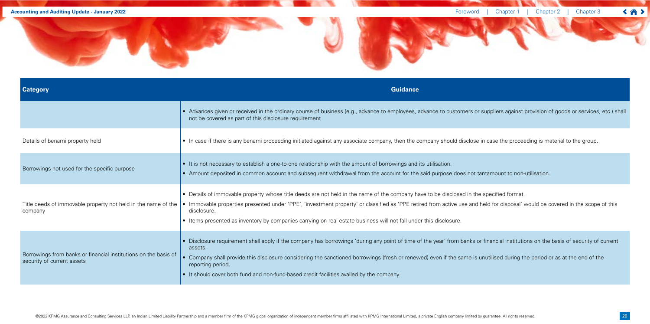![](_page_8_Picture_2.jpeg)

| <b>Category</b>                                                                               | <b>Guidance</b>                                                                                                                                                                                                                                                                                                                                                                                                         |
|-----------------------------------------------------------------------------------------------|-------------------------------------------------------------------------------------------------------------------------------------------------------------------------------------------------------------------------------------------------------------------------------------------------------------------------------------------------------------------------------------------------------------------------|
|                                                                                               | • Advances given or received in the ordinary course of business (e.g., advance to employees, advance to customers or suppliers against<br>not be covered as part of this disclosure requirement.                                                                                                                                                                                                                        |
| Details of benami property held                                                               | • In case if there is any benami proceeding initiated against any associate company, then the company should disclose in case the proce                                                                                                                                                                                                                                                                                 |
| Borrowings not used for the specific purpose                                                  | • It is not necessary to establish a one-to-one relationship with the amount of borrowings and its utilisation.<br>• Amount deposited in common account and subsequent withdrawal from the account for the said purpose does not tantamount to non-                                                                                                                                                                     |
| Title deeds of immovable property not held in the name of the<br>company                      | • Details of immovable property whose title deeds are not held in the name of the company have to be disclosed in the specified format.<br>• Immovable properties presented under 'PPE', 'investment property' or classified as 'PPE retired from active use and held for disposal'<br>disclosure.<br>• Items presented as inventory by companies carrying on real estate business will not fall under this disclosure. |
| Borrowings from banks or financial institutions on the basis of<br>security of current assets | Disclosure requirement shall apply if the company has borrowings 'during any point of time of the year' from banks or financial institution<br>assets.<br>Company shall provide this disclosure considering the sanctioned borrowings (fresh or renewed) even if the same is unutilised during the<br>reporting period.<br>• It should cover both fund and non-fund-based credit facilities availed by the company.     |

against provision of goods or services, etc.) shall

proceeding is material to the group.

t to non-utilisation.

sposal' would be covered in the scope of this

institutions on the basis of security of current

during the period or as at the end of the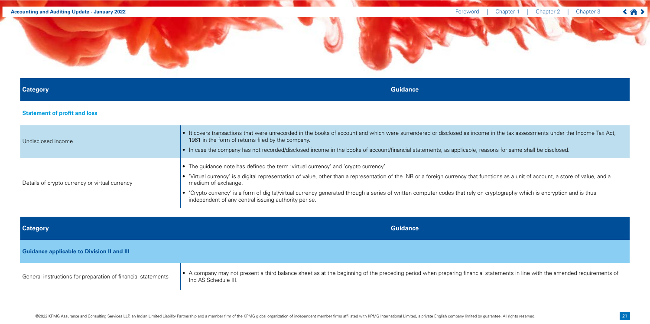### **Category Guidance**

# **Statement of profit and loss**

| Undisclosed income                             | • It covers transactions that were unrecorded in the books of account and which were surrendered or disclosed as income in the<br>1961 in the form of returns filed by the company.<br>• In case the company has not recorded/disclosed income in the books of account/financial statements, as applicable, reasons for                                                                                                                              |
|------------------------------------------------|------------------------------------------------------------------------------------------------------------------------------------------------------------------------------------------------------------------------------------------------------------------------------------------------------------------------------------------------------------------------------------------------------------------------------------------------------|
| Details of crypto currency or virtual currency | • The guidance note has defined the term 'virtual currency' and 'crypto currency'.<br>'Virtual currency' is a digital representation of value, other than a representation of the INR or a foreign currency that functions a<br>medium of exchange.<br>• 'Crypto currency' is a form of digital/virtual currency generated through a series of written computer codes that rely on cryptogri<br>independent of any central issuing authority per se. |

![](_page_9_Picture_2.jpeg)

| <b>Category</b>                                              | <b>Guidance</b>                                                                                                                                          |
|--------------------------------------------------------------|----------------------------------------------------------------------------------------------------------------------------------------------------------|
| <b>Guidance applicable to Division II and III</b>            |                                                                                                                                                          |
| General instructions for preparation of financial statements | • A company may not present a third balance sheet as at the beginning of the preceding period when preparing financial statement<br>Ind AS Schedule III. |

tax assessments under the Income Tax Act,

r same shall be disclosed.

as a unit of account, a store of value, and a

raphy which is encryption and is thus

ts in line with the amended requirements of